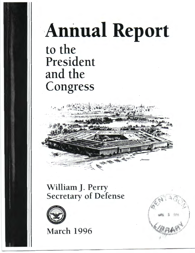# **Annual Report** to the President and the Congress



## William *]* . Perry Secretary of Defense



**March 1996** 

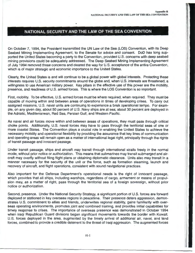### **NATIONAL SECURITY AND THE LAW OF THE SEA CONVENTION**

On October 7, 1994, the President transmitted the UN Law of the Sea (LOS) Convention, with its Deep Seabed Mining Implementing Agreement, to the Senate for advice and consent. DoD has long supported the United States becoming a party to the Convention, provided U.S. concerns with deep seabed mining provisions could be adequately addressed. The Deep Seabed Mining Implementing Agreement of July 1994 removed those concerns and cleared the way for U.S. acceptance of the entire Convention, which is of major strategic and economic importance to the United States.

Clearly, the United States is and will continue to be a global power with global interests. Protecting these interests requires U.S. security commitments around the globe and, when U.S. interests are threatened, a willingness to use American military power. Key pillars in the effective use of this power are the mobility, presence, and readiness of U.S. armed forces. This is where the LOS Convention is so important.

First, mobility. To be effective, U.S. armed forces must be where required, when required. They must be capable of moving within and between areas of operations in times of developing crises. To carry out assigned missions, U.S. naval units are continuing to experience a brisk operational tempo. For example, on any given day, about 50 percent of U.S. Navy ships are at sea; about 30 percent are deployed in the Adriatic, Mediterranean, Red Sea, Persian Gulf, and Western Pacific.

As naval and air forces move within and between areas of operations, they must pass through critical choke points. Additionally, U.S. naval forces may have to pass through the territorial seas of one or more coastal States. The Convention plays a crucial role in enabling the United States to achieve the necessary mobility and operational flexibility by providing the assurance that key lines of communication and operating areas will remain open as a matter of international legal right, principally through the rights of transit passage and innocent passage.

Under transit passage, ships and aircraft may transit through international straits freely in the normal mode, without prior notice or authorization. This means that submarines may transit submerged and aircraft may overfly without filing flight plans or obtaining diplomatic clearance. Units also may transit in a manner necessary for the security of the unit or the force, such as formation steaming, launch and recovery of aircraft, and flight operations, consistent with sound navigational practices.

Also important for the Defense Department's operational needs is the right of innocent passage, which provides that all ships, including warships, regardless of cargo, armament or means of propulsion may, as a matter of right, pass through the territorial sea of a foreign sovereign, without prior notice or authorization.

Second, presence. Under the National Security Strategy, a significant portion of U.S. forces are forward deployed or stationed in key overseas regions in peacetime. Their presence deters aggression, demonstrates U.S. commitment to allies and friends, underwrites regional stability, gains familiarity with overseas operating environments, promotes joint and combined training, and provides initial capabilities for timely response to crises. The importance of overseas presence was demonstrated in October 1994 when Iraqi Republican Guard divisions began significant movements towards the border with Kuwait. U.S. forces deployed in the area, augmented by the timely arrival of additional air, naval, and land forces, combined to provide a credible deterrent to the threat of Iraqi aggression. The augmented forces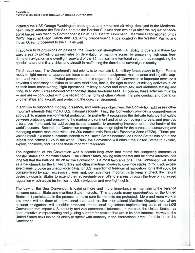#### **Appendix H** NATIONAL SECURITY AND THE LAW OF THE SEA CONVENTION

included the USS George Washington battle group and embarked air wing, deployed in the Mediterranean, which entered the Red Sea enroute the Persian Gulf less than two days after the request for additional forces was made by Commander in Chief, U.S. Central Command. Maritime Prepositioned Ships (MPS) based at Diego Garcia and U.S. Army prepositioning ships located in the Western Pacific and Indian Ocean proceeded to the Gulf as well.

In addition to its provisions on passage, the Convention strengthens U.S. ability to operate in these forward areas by providing agreed rules on delimitation of maritime zones, by preserving high seas freedoms of navigation and overflight seaward of the 12 nautical mile territorial sea, and by recognizing the special nature of military ships and aircraft in reaffirming the doctrine of sovereign immunity.

Third, readiness. The Department's first priority is to maintain U.S. military forces ready to fight. Forces ready to fight means an appropriate force structure, modern equipment, maintenance and logistics support, and trained and motivated personnel. In this regard, the LOS Convention is important because it provides a necessary condition to achieve readiness, that is, the right to conduct military activities, such as task force maneuvering, flight operations, military surveys and exercises, and ordnance testing and firing, in all ocean areas beyond other coastal States' territorial seas. Of course, these activities must be - and are - conducted with due regard for the rights of other nations, the safe conduct and operation of other ships and aircraft, and protecting the ocean environment.

In addition to supporting mobility, presence, and readiness objectives, the Convention addresses other important interests that impact U.S. national security. First, the Convention provides a comprehensive approach to marine environmental protection. Importantly, it recognizes the delicate balance that exists between protecting and preserving the marine environment and other competing interests, and provides a balanced framework for addressing issues essential to promoting improvement in the health of the world's oceans. Second, the Convention recognizes sovereign rights for the purpose of conserving and managing marine resources within the 200 nautical mile Exclusive Economic Zone (EEZs). These provisions result in a most substantial benefit to the United States because the United States has one of the largest and richest EEZs in the world. Thus, the Convention will enable the United States to explore, exploit, conserve, and manage these important resources.

The negotiation of the Convention was a decade-long effort that meets the competing interests of coastal States and maritime States. The United States, having both coastal and maritime interests, has long felt that the balance struck by the Convention is a most favorable one. The Convention will serve as a benchmark for the United States and other maritime powers to convince states to roll back excessive claims, provide an unequivocal basis for U.S. assertion of freedom of navigation rights that could be compromised by such excessive claims and, perhaps more importantly, to keep in check the natural desire by coastal States to extend their sovereignty over offshore areas through the type of increased regulation which would be inimical to U.S. navigation and overflight rights.

The Law of the Sea Convention is gaining more and more importance in maintaining the balance between coastal State and maritime State interests. This presents many opportunities for the United States, if it participates in the process to make sure its interests are protected. More and more work in this arena will be done at international fora, such as the International Maritime Organization, where national delegations will consider proposed international regulations implementing parts of the LOS Convention that impact U.S. security and vital commercial interests. In the past, the United States has been effective in representing and gaining support for policies that are in its best interest. However, the United States risks losing its ability to speak with authority in the international arena if it fails to join the Convention.